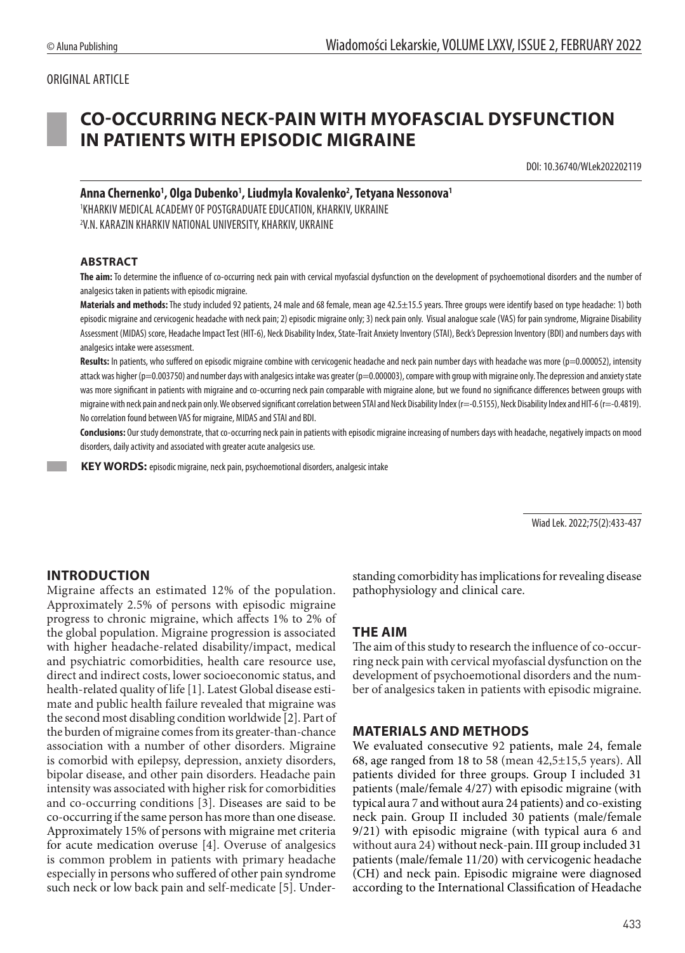# ORIGINAL ARTICLE

# **CO-OCCURRING NECK-PAIN WITH MYOFASCIAL DYSFUNCTION IN PATIENTS WITH EPISODIC MIGRAINE**

DOI: 10.36740/WLek202202119

## **Anna Chernenko1 , Olga Dubenko1 , Liudmyla Kovalenko2 , Tetyana Nessonova1** 1 KHARKIV MEDICAL ACADEMY OF POSTGRADUATE EDUCATION, KHARKIV, UKRAINE 2 V.N. KARAZIN KHARKIV NATIONAL UNIVERSITY, KHARKIV, UKRAINE

#### **ABSTRACT**

**The aim:** To determine the influence of co-occurring neck pain with cervical myofascial dysfunction on the development of psychoemotional disorders and the number of analgesics taken in patients with episodic migraine.

Materials and methods: The study included 92 patients, 24 male and 68 female, mean age 42.5±15.5 years. Three groups were identify based on type headache: 1) both episodic migraine and cervicogenic headache with neck pain; 2) episodic migraine only; 3) neck pain only. Visual analogue scale (VAS) for pain syndrome, Migraine Disability Assessment (MIDAS) score, Headache Impact Test (HIT-6), Neck Disability Index, State-Trait Anxiety Inventory (STAI), Beck's Depression Inventory (BDI) and numbers days with analgesics intake were assessment.

Results: In patients, who suffered on episodic migraine combine with cervicogenic headache and neck pain number days with headache was more (p=0.000052), intensity attack was higher (p=0.003750) and number days with analgesics intake was greater (p=0.000003), compare with group with migraine only. The depression and anxiety state was more significant in patients with migraine and co-occurring neck pain comparable with migraine alone, but we found no significance differences between groups with migraine with neck pain and neck pain only. We observed significant correlation between STAI and Neck Disability Index (r=-0.5155), Neck Disability Index and HIT-6 (r=-0.4819). No correlation found between VAS for migraine, MIDAS and STAI and BDI.

**Conclusions:** Our study demonstrate, that co-occurring neck pain in patients with episodic migraine increasing of numbers days with headache, negatively impacts on mood disorders, daily activity and associated with greater acute analgesics use.

 **KEY WORDS:** episodic migraine, neck pain, psychoemotional disorders, analgesic intake

Wiad Lek. 2022;75(2):433-437

# **INTRODUCTION**

Migraine affects an estimated 12% of the population. Approximately 2.5% of persons with episodic migraine progress to chronic migraine, which affects 1% to 2% of the global population. Migraine progression is associated with higher headache-related disability/impact, medical and psychiatric comorbidities, health care resource use, direct and indirect costs, lower socioeconomic status, and health-related quality of life [1]. Latest Global disease estimate and public health failure revealed that migraine was the second most disabling condition worldwide [2]. Part of the burden of migraine comes from its greater-than-chance association with a number of other disorders. Migraine is comorbid with epilepsy, depression, anxiety disorders, bipolar disease, and other pain disorders. Headache pain intensity was associated with higher risk for comorbidities and co-occurring conditions [3]. Diseases are said to be co-occurring if the same person has more than one disease. Approximately 15% of persons with migraine met criteria for acute medication overuse [4]. Overuse of analgesics is common problem in patients with primary headache especially in persons who suffered of other pain syndrome such neck or low back pain and self-medicate [5]. Understanding comorbidity has implications for revealing disease pathophysiology and clinical care.

## **THE AIM**

The aim of this study to research the influence of co-occurring neck pain with cervical myofascial dysfunction on the development of psychoemotional disorders and the number of analgesics taken in patients with episodic migraine.

#### **MATERIALS AND METHODS**

We evaluated consecutive 92 patients, male 24, female 68, age ranged from 18 to 58 (mean 42,5±15,5 years). All patients divided for three groups. Group I included 31 patients (male/female 4/27) with episodic migraine (with typical aura 7 and without aura 24 patients) and co-existing neck pain. Group II included 30 patients (male/female 9/21) with episodic migraine (with typical aura 6 and without aura 24) without neck-pain. III group included 31 patients (male/female 11/20) with cervicogenic headache (CH) and neck pain. Episodic migraine were diagnosed according to the International Classification of Headache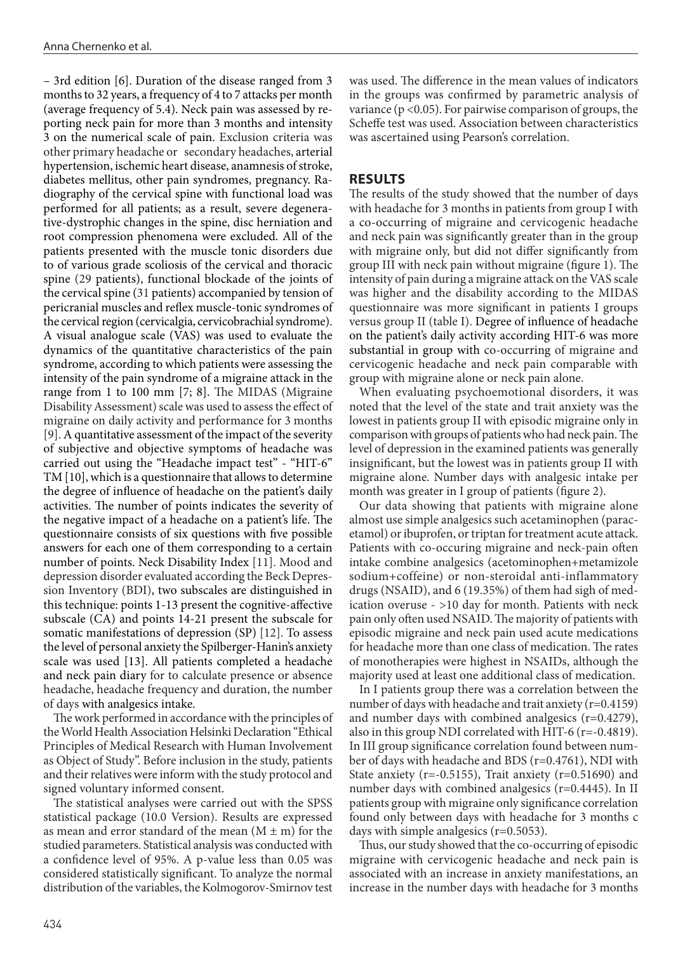– 3rd edition [6]. Duration of the disease ranged from 3 months to 32 years, a frequency of 4 to 7 attacks per month (average frequency of 5.4). Neck pain was assessed by reporting neck pain for more than 3 months and intensity 3 on the numerical scale of pain. Exclusion criteria was other primary headache or secondary headaches, arterial hypertension, ischemic heart disease, anamnesis of stroke, diabetes mellitus, other pain syndromes, pregnancy. Radiography of the cervical spine with functional load was performed for all patients; as a result, severe degenerative-dystrophic changes in the spine, disc herniation and root compression phenomena were excluded. All of the patients presented with the muscle tonic disorders due to of various grade scoliosis of the cervical and thoracic spine (29 patients), functional blockade of the joints of the cervical spine (31 patients) accompanied by tension of pericranial muscles and reflex muscle-tonic syndromes of the cervical region (cervicalgia, cervicobrachial syndrome). A visual analogue scale (VAS) was used to evaluate the dynamics of the quantitative characteristics of the pain syndrome, according to which patients were assessing the intensity of the pain syndrome of a migraine attack in the range from 1 to 100 mm [7; 8]. The MIDAS (Migraine Disability Assessment) scale was used to assess the effect of migraine on daily activity and performance for 3 months [9]. A quantitative assessment of the impact of the severity of subjective and objective symptoms of headache was carried out using the "Headache impact test" - "HIT-6" TM [10], which is a questionnaire that allows to determine the degree of influence of headache on the patient's daily activities. The number of points indicates the severity of the negative impact of a headache on a patient's life. The questionnaire consists of six questions with five possible answers for each one of them corresponding to a certain number of points. Neck Disability Index [11]. Mood and depression disorder evaluated according the Beck Depression Inventory (BDI), two subscales are distinguished in this technique: points 1-13 present the cognitive-affective subscale (CA) and points 14-21 present the subscale for somatic manifestations of depression (SP) [12]. To assess the level of personal anxiety the Spilberger-Hanin's anxiety scale was used [13]. All patients completed a headache and neck pain diary for to calculate presence or absence headache, headache frequency and duration, the number of days with analgesics intake.

The work performed in accordance with the principles of the World Health Association Helsinki Declaration "Ethical Principles of Medical Research with Human Involvement as Object of Study". Before inclusion in the study, patients and their relatives were inform with the study protocol and signed voluntary informed consent.

The statistical analyses were carried out with the SPSS statistical package (10.0 Version). Results are expressed as mean and error standard of the mean  $(M \pm m)$  for the studied parameters. Statistical analysis was conducted with a confidence level of 95%. A p-value less than 0.05 was considered statistically significant. To analyze the normal distribution of the variables, the Kolmogorov-Smirnov test was used. The difference in the mean values of indicators in the groups was confirmed by parametric analysis of variance ( $p$  <0.05). For pairwise comparison of groups, the Scheffe test was used. Association between characteristics was ascertained using Pearson's correlation.

# **RESULTS**

The results of the study showed that the number of days with headache for 3 months in patients from group I with a co-occurring of migraine and cervicogenic headache and neck pain was significantly greater than in the group with migraine only, but did not differ significantly from group III with neck pain without migraine (figure 1). The intensity of pain during a migraine attack on the VAS scale was higher and the disability according to the MIDAS questionnaire was more significant in patients I groups versus group II (table I). Degree of influence of headache on the patient's daily activity according HIT-6 was more substantial in group with co-occurring of migraine and cervicogenic headache and neck pain comparable with group with migraine alone or neck pain alone.

When evaluating psychoemotional disorders, it was noted that the level of the state and trait anxiety was the lowest in patients group II with episodic migraine only in comparison with groups of patients who had neck pain. The level of depression in the examined patients was generally insignificant, but the lowest was in patients group II with migraine alone. Number days with analgesic intake per month was greater in I group of patients (figure 2).

Our data showing that patients with migraine alone almost use simple analgesics such acetaminophen (paracetamol) or ibuprofen, or triptan for treatment acute attack. Patients with co-occuring migraine and neck-pain often intake combine analgesics (acetominophen+metamizole sodium+coffeine) or non-steroidal anti-inflammatory drugs (NSAID), and 6 (19.35%) of them had sigh of medication overuse - >10 day for month. Patients with neck pain only often used NSAID. The majority of patients with episodic migraine and neck pain used acute medications for headache more than one class of medication. The rates of monotherapies were highest in NSAIDs, although the majority used at least one additional class of medication.

In I patients group there was a correlation between the number of days with headache and trait anxiety (r=0.4159) and number days with combined analgesics (r=0.4279), also in this group NDI correlated with HIT-6 (r=-0.4819). In III group significance correlation found between number of days with headache and BDS (r=0.4761), NDI with State anxiety ( $r=-0.5155$ ), Trait anxiety ( $r=0.51690$ ) and number days with combined analgesics (r=0.4445). In II patients group with migraine only significance correlation found only between days with headache for 3 months с days with simple analgesics (r=0.5053).

Thus, our study showed that the co-occurring of episodic migraine with cervicogenic headache and neck pain is associated with an increase in anxiety manifestations, an increase in the number days with headache for 3 months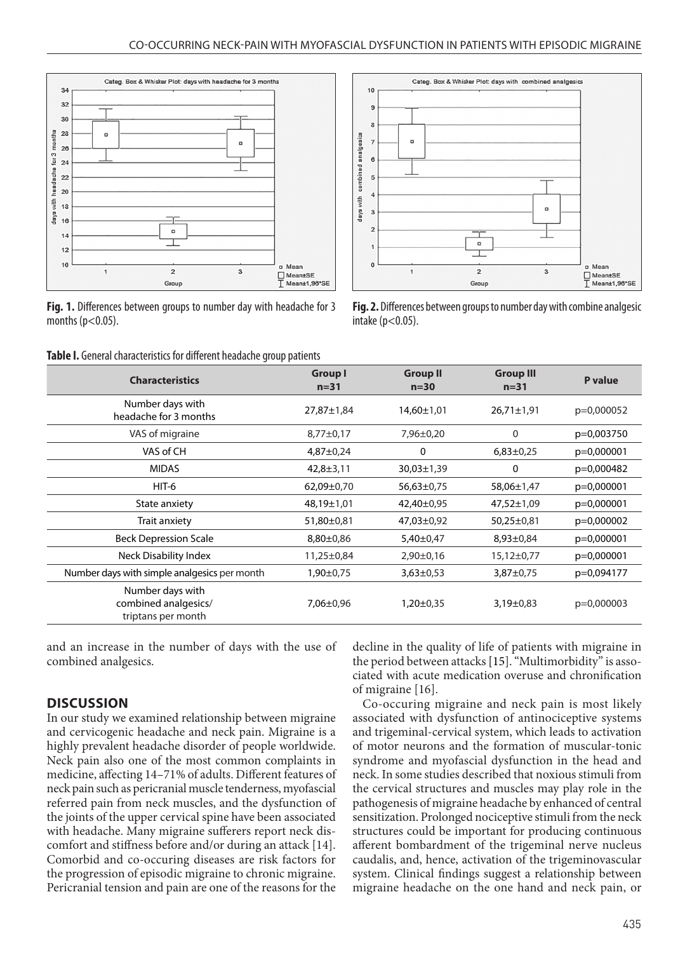

**Fig. 1.** Differences between groups to number day with headache for 3 months  $(p<0.05)$ .



**Fig. 2.** Differences between groups to number day with combine analgesic intake  $(p<0.05)$ .

|  | Table I. General characteristics for different headache group patients |  |  |  |
|--|------------------------------------------------------------------------|--|--|--|
|--|------------------------------------------------------------------------|--|--|--|

| <b>Characteristics</b>                                         | Group I<br>$n = 31$ | <b>Group II</b><br>$n=30$ | <b>Group III</b><br>$n = 31$ | P value    |
|----------------------------------------------------------------|---------------------|---------------------------|------------------------------|------------|
| Number days with<br>headache for 3 months                      | 27,87±1,84          | 14,60±1,01                | $26,71\pm1,91$               | p=0,000052 |
| VAS of migraine                                                | $8,77 \pm 0,17$     | 7,96±0,20                 | 0                            | p=0,003750 |
| VAS of CH                                                      | $4,87 \pm 0,24$     | 0                         | $6,83\pm0.25$                | p=0,000001 |
| <b>MIDAS</b>                                                   | $42,8 \pm 3,11$     | $30,03 \pm 1,39$          | 0                            | p=0,000482 |
| HIT-6                                                          | 62,09±0,70          | 56,63±0,75                | 58,06±1,47                   | p=0,000001 |
| State anxiety                                                  | 48,19±1,01          | 42,40±0,95                | 47,52±1,09                   | p=0,000001 |
| Trait anxiety                                                  | 51,80±0,81          | 47,03±0,92                | $50,25\pm0,81$               | p=0,000002 |
| <b>Beck Depression Scale</b>                                   | $8,80 \pm 0,86$     | $5,40\pm0,47$             | $8,93\pm0.84$                | p=0,000001 |
| <b>Neck Disability Index</b>                                   | 11,25±0,84          | $2,90\pm0,16$             | $15,12\pm0,77$               | p=0,000001 |
| Number days with simple analgesics per month                   | $1,90 \pm 0.75$     | $3,63\pm0,53$             | 3,87±0,75                    | p=0,094177 |
| Number days with<br>combined analgesics/<br>triptans per month | $7,06 \pm 0,96$     | $1,20\pm0.35$             | $3,19\pm0.83$                | p=0,000003 |

and an increase in the number of days with the use of combined analgesics.

## **DISCUSSION**

In our study we examined relationship between migraine and cervicogenic headache and neck pain. Migraine is a highly prevalent headache disorder of people worldwide. Neck pain also one of the most common complaints in medicine, affecting 14–71% of adults. Different features of neck pain such as pericranial muscle tenderness, myofascial referred pain from neck muscles, and the dysfunction of the joints of the upper cervical spine have been associated with headache. Many migraine sufferers report neck discomfort and stiffness before and/or during an attack [14]. Comorbid and co-occuring diseases are risk factors for the progression of episodic migraine to chronic migraine. Pericranial tension and pain are one of the reasons for the decline in the quality of life of patients with migraine in the period between attacks [15]. "Multimorbidity" is associated with acute medication overuse and chronification of migraine [16].

Co-occuring migraine and neck pain is most likely associated with dysfunction of antinociceptive systems and trigeminal-cervical system, which leads to activation of motor neurons and the formation of muscular-tonic syndrome and myofascial dysfunction in the head and neck. In some studies described that noxious stimuli from the cervical structures and muscles may play role in the pathogenesis of migraine headache by enhanced of central sensitization. Prolonged nociceptive stimuli from the neck structures could be important for producing continuous afferent bombardment of the trigeminal nerve nucleus caudalis, and, hence, activation of the trigeminovascular system. Clinical findings suggest a relationship between migraine headache on the one hand and neck pain, or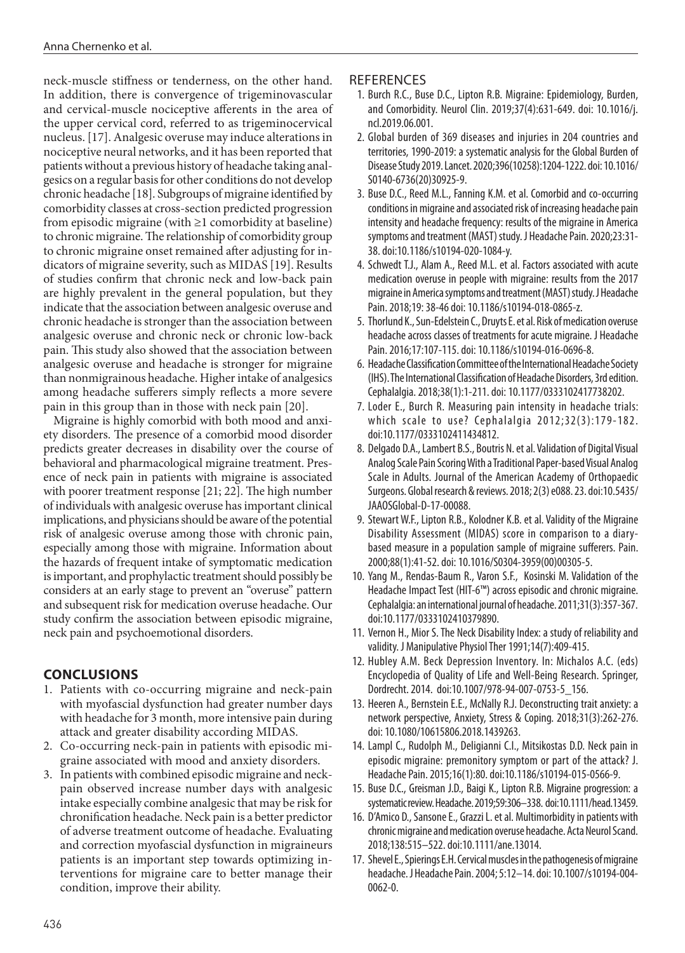neck-muscle stiffness or tenderness, on the other hand. In addition, there is convergence of trigeminovascular and cervical-muscle nociceptive afferents in the area of the upper cervical cord, referred to as trigeminocervical nucleus. [17]. Analgesic overuse may induce alterations in nociceptive neural networks, and it has been reported that patients without a previous history of headache taking analgesics on a regular basis for other conditions do not develop chronic headache [18]. Subgroups of migraine identified by comorbidity classes at cross-section predicted progression from episodic migraine (with  $\geq 1$  comorbidity at baseline) to chronic migraine. The relationship of comorbidity group to chronic migraine onset remained after adjusting for indicators of migraine severity, such as MIDAS [19]. Results of studies confirm that chronic neck and low-back pain are highly prevalent in the general population, but they indicate that the association between analgesic overuse and chronic headache is stronger than the association between analgesic overuse and chronic neck or chronic low-back pain. This study also showed that the association between analgesic overuse and headache is stronger for migraine than nonmigrainous headache. Higher intake of analgesics among headache sufferers simply reflects a more severe pain in this group than in those with neck pain [20].

Migraine is highly comorbid with both mood and anxiety disorders. The presence of a comorbid mood disorder predicts greater decreases in disability over the course of behavioral and pharmacological migraine treatment. Presence of neck pain in patients with migraine is associated with poorer treatment response [21; 22]. The high number of individuals with analgesic overuse has important clinical implications, and physicians should be aware of the potential risk of analgesic overuse among those with chronic pain, especially among those with migraine. Information about the hazards of frequent intake of symptomatic medication is important, and prophylactic treatment should possibly be considers at an early stage to prevent an "overuse" pattern and subsequent risk for medication overuse headache. Our study confirm the association between episodic migraine, neck pain and psychoemotional disorders.

# **CONCLUSIONS**

- 1. Patients with co-occurring migraine and neck-pain with myofascial dysfunction had greater number days with headache for 3 month, more intensive pain during attack and greater disability according MIDAS.
- 2. Co-occurring neck-pain in patients with episodic migraine associated with mood and anxiety disorders.
- 3. In patients with combined episodic migraine and neckpain observed increase number days with analgesic intake especially combine analgesic that may be risk for chronification headache. Neck pain is a better predictor of adverse treatment outcome of headache. Evaluating and correction myofascial dysfunction in migraineurs patients is an important step towards optimizing interventions for migraine care to better manage their condition, improve their ability.

## **REFERENCES**

- 1. Burch R.C., Buse D.C., Lipton R.B. Migraine: Epidemiology, Burden, and Comorbidity. Neurol Clin. 2019;37(4):631-649. doi: 10.1016/j. ncl.2019.06.001.
- 2. Global burden of 369 diseases and injuries in 204 countries and territories, 1990-2019: a systematic analysis for the Global Burden of Disease Study 2019. Lancet. 2020;396(10258):1204-1222. doi: 10.1016/ S0140-6736(20)30925-9.
- 3. Buse D.C., Reed M.L., Fanning K.M. et al. Comorbid and co-occurring conditions in migraine and associated risk of increasing headache pain intensity and headache frequency: results of the migraine in America symptoms and treatment (MAST) study. J Headache Pain. 2020;23:31- 38. doi:10.1186/s10194-020-1084-y.
- 4. Schwedt T.J., Alam A., Reed M.L. et al. Factors associated with acute medication overuse in people with migraine: results from the 2017 migraine in America symptoms and treatment (MAST) study. J Headache Pain. 2018;19: 38-46 doi: 10.1186/s10194-018-0865-z.
- 5. Thorlund K., Sun-Edelstein C., Druyts E. et al. Risk of medication overuse headache across classes of treatments for acute migraine. J Headache Pain. 2016;17:107-115. doi: 10.1186/s10194-016-0696-8.
- 6. Headache Classification Committee of the International Headache Society (IHS). The International Classification of Headache Disorders, 3rd edition. Cephalalgia. 2018;38(1):1-211. doi: 10.1177/0333102417738202.
- 7. Loder E., Burch R. Measuring pain intensity in headache trials: which scale to use? Cephalalgia 2012;32(3):179-182. doi:10.1177/0333102411434812.
- 8. Delgado D.A., Lambert B.S., Boutris N. et al. Validation of Digital Visual Analog Scale Pain Scoring With a Traditional Paper-based Visual Analog Scale in Adults. Journal of the American Academy of Orthopaedic Surgeons. Global research & reviews. 2018; 2(3) e088. 23. doi:10.5435/ JAAOSGlobal-D-17-00088.
- 9. Stewart W.F., Lipton R.B., Kolodner K.B. et al. Validity of the Migraine Disability Assessment (MIDAS) score in comparison to a diarybased measure in a population sample of migraine sufferers. Pain. 2000;88(1):41-52. doi: 10.1016/S0304-3959(00)00305-5.
- 10. Yang M., Rendas-Baum R., Varon S.F., Kosinski M. Validation of the Headache Impact Test (HIT-6™) across episodic and chronic migraine. Cephalalgia: an international journal of headache. 2011;31(3):357-367. doi:10.1177/0333102410379890.
- 11. Vernon H., Mior S. The Neck Disability Index: a study of reliability and validity. J Manipulative Physiol Ther 1991;14(7):409-415.
- 12. Hubley A.M. Beck Depression Inventory. In: Michalos A.C. (eds) Encyclopedia of Quality of Life and Well-Being Research. Springer, Dordrecht. 2014. doi:10.1007/978-94-007-0753-5\_156.
- 13. Heeren A., Bernstein E.E., McNally R.J. Deconstructing trait anxiety: a network perspective, Anxiety, Stress & Coping. 2018;31(3):262-276. doi: 10.1080/10615806.2018.1439263.
- 14. Lampl C., Rudolph M., Deligianni C.I., Mitsikostas D.D. Neck pain in episodic migraine: premonitory symptom or part of the attack? J. Headache Pain. 2015;16(1):80. doi:10.1186/s10194-015-0566-9.
- 15. Buse D.C., Greisman J.D., Baigi K., Lipton R.B. Migraine progression: a systematic review. Headache. 2019;59:306–338. doi:10.1111/head.13459.
- 16. D'Amico D., Sansone E., Grazzi L. et al. Multimorbidity in patients with chronic migraine and medication overuse headache. Acta Neurol Scand. 2018;138:515–522. doi:10.1111/ane.13014.
- 17. Shevel E., Spierings E.H. Cervical muscles in the pathogenesis of migraine headache. J Headache Pain. 2004; 5:12–14. doi: 10.1007/s10194-004- 0062-0.